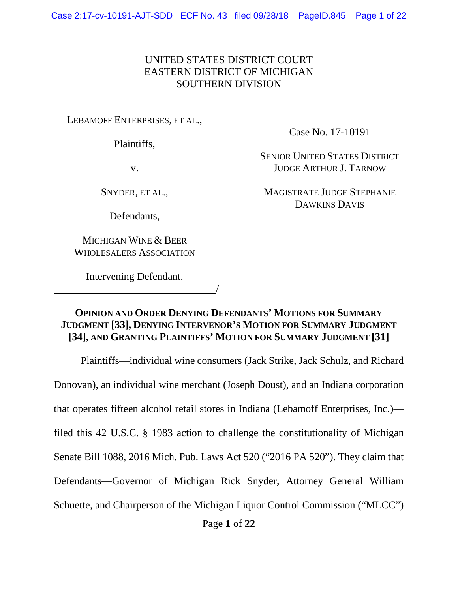### UNITED STATES DISTRICT COURT EASTERN DISTRICT OF MICHIGAN SOUTHERN DIVISION

LEBAMOFF ENTERPRISES, ET AL.,

Plaintiffs,

Case No. 17-10191

SENIOR UNITED STATES DISTRICT JUDGE ARTHUR J. TARNOW

v.

SNYDER, ET AL.,

Defendants,

MICHIGAN WINE & BEER WHOLESALERS ASSOCIATION

Intervening Defendant. <u>/</u> MAGISTRATE JUDGE STEPHANIE DAWKINS DAVIS

## **OPINION AND ORDER DENYING DEFENDANTS' MOTIONS FOR SUMMARY JUDGMENT [33], DENYING INTERVENOR'S MOTION FOR SUMMARY JUDGMENT [34], AND GRANTING PLAINTIFFS' MOTION FOR SUMMARY JUDGMENT [31]**

Plaintiffs—individual wine consumers (Jack Strike, Jack Schulz, and Richard Donovan), an individual wine merchant (Joseph Doust), and an Indiana corporation that operates fifteen alcohol retail stores in Indiana (Lebamoff Enterprises, Inc.) filed this 42 U.S.C. § 1983 action to challenge the constitutionality of Michigan Senate Bill 1088, 2016 Mich. Pub. Laws Act 520 ("2016 PA 520"). They claim that Defendants—Governor of Michigan Rick Snyder, Attorney General William Schuette, and Chairperson of the Michigan Liquor Control Commission ("MLCC")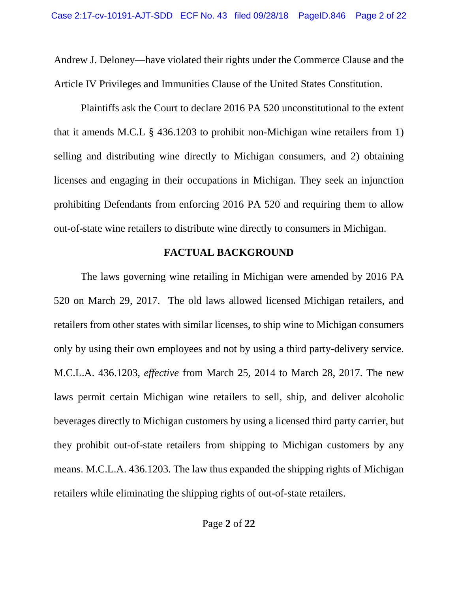Andrew J. Deloney—have violated their rights under the Commerce Clause and the Article IV Privileges and Immunities Clause of the United States Constitution.

Plaintiffs ask the Court to declare 2016 PA 520 unconstitutional to the extent that it amends M.C.L § 436.1203 to prohibit non-Michigan wine retailers from 1) selling and distributing wine directly to Michigan consumers, and 2) obtaining licenses and engaging in their occupations in Michigan. They seek an injunction prohibiting Defendants from enforcing 2016 PA 520 and requiring them to allow out-of-state wine retailers to distribute wine directly to consumers in Michigan.

## **FACTUAL BACKGROUND**

The laws governing wine retailing in Michigan were amended by 2016 PA 520 on March 29, 2017. The old laws allowed licensed Michigan retailers, and retailers from other states with similar licenses, to ship wine to Michigan consumers only by using their own employees and not by using a third party-delivery service. M.C.L.A. 436.1203, *effective* from March 25, 2014 to March 28, 2017. The new laws permit certain Michigan wine retailers to sell, ship, and deliver alcoholic beverages directly to Michigan customers by using a licensed third party carrier, but they prohibit out-of-state retailers from shipping to Michigan customers by any means. M.C.L.A. 436.1203. The law thus expanded the shipping rights of Michigan retailers while eliminating the shipping rights of out-of-state retailers.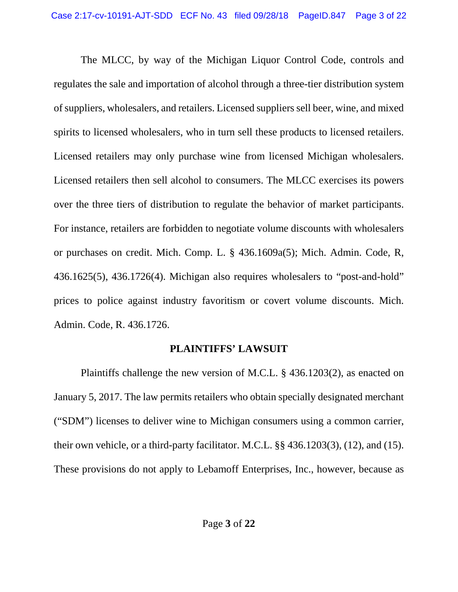The MLCC, by way of the Michigan Liquor Control Code, controls and regulates the sale and importation of alcohol through a three-tier distribution system of suppliers, wholesalers, and retailers. Licensed suppliers sell beer, wine, and mixed spirits to licensed wholesalers, who in turn sell these products to licensed retailers. Licensed retailers may only purchase wine from licensed Michigan wholesalers. Licensed retailers then sell alcohol to consumers. The MLCC exercises its powers over the three tiers of distribution to regulate the behavior of market participants. For instance, retailers are forbidden to negotiate volume discounts with wholesalers or purchases on credit. Mich. Comp. L. § 436.1609a(5); Mich. Admin. Code, R, 436.1625(5), 436.1726(4). Michigan also requires wholesalers to "post-and-hold" prices to police against industry favoritism or covert volume discounts. Mich. Admin. Code, R. 436.1726.

## **PLAINTIFFS' LAWSUIT**

Plaintiffs challenge the new version of M.C.L. § 436.1203(2), as enacted on January 5, 2017. The law permits retailers who obtain specially designated merchant ("SDM") licenses to deliver wine to Michigan consumers using a common carrier, their own vehicle, or a third-party facilitator. M.C.L. §§ 436.1203(3), (12), and (15). These provisions do not apply to Lebamoff Enterprises, Inc., however, because as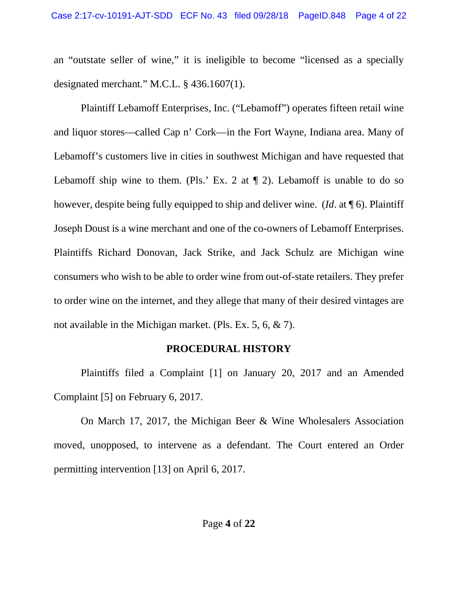an "outstate seller of wine," it is ineligible to become "licensed as a specially designated merchant." M.C.L. § 436.1607(1).

Plaintiff Lebamoff Enterprises, Inc. ("Lebamoff") operates fifteen retail wine and liquor stores—called Cap n' Cork—in the Fort Wayne, Indiana area. Many of Lebamoff's customers live in cities in southwest Michigan and have requested that Lebamoff ship wine to them. (Pls.' Ex. 2 at  $\P$  2). Lebamoff is unable to do so however, despite being fully equipped to ship and deliver wine. (*Id*. at ¶ 6). Plaintiff Joseph Doust is a wine merchant and one of the co-owners of Lebamoff Enterprises. Plaintiffs Richard Donovan, Jack Strike, and Jack Schulz are Michigan wine consumers who wish to be able to order wine from out-of-state retailers. They prefer to order wine on the internet, and they allege that many of their desired vintages are not available in the Michigan market. (Pls. Ex. 5, 6, & 7).

## **PROCEDURAL HISTORY**

Plaintiffs filed a Complaint [1] on January 20, 2017 and an Amended Complaint [5] on February 6, 2017.

On March 17, 2017, the Michigan Beer & Wine Wholesalers Association moved, unopposed, to intervene as a defendant. The Court entered an Order permitting intervention [13] on April 6, 2017.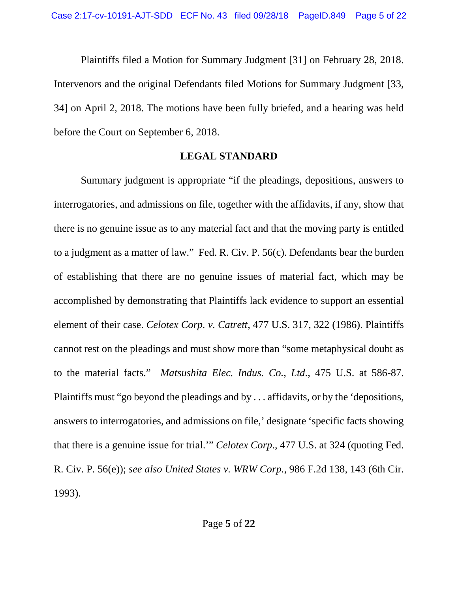Plaintiffs filed a Motion for Summary Judgment [31] on February 28, 2018. Intervenors and the original Defendants filed Motions for Summary Judgment [33, 34] on April 2, 2018. The motions have been fully briefed, and a hearing was held before the Court on September 6, 2018.

### **LEGAL STANDARD**

Summary judgment is appropriate "if the pleadings, depositions, answers to interrogatories, and admissions on file, together with the affidavits, if any, show that there is no genuine issue as to any material fact and that the moving party is entitled to a judgment as a matter of law." Fed. R. Civ. P. 56(c). Defendants bear the burden of establishing that there are no genuine issues of material fact, which may be accomplished by demonstrating that Plaintiffs lack evidence to support an essential element of their case. *Celotex Corp. v. Catrett*, 477 U.S. 317, 322 (1986). Plaintiffs cannot rest on the pleadings and must show more than "some metaphysical doubt as to the material facts." *Matsushita Elec. Indus. Co., Ltd*., 475 U.S. at 586-87. Plaintiffs must "go beyond the pleadings and by . . . affidavits, or by the 'depositions, answers to interrogatories, and admissions on file,' designate 'specific facts showing that there is a genuine issue for trial.'" *Celotex Corp*., 477 U.S. at 324 (quoting Fed. R. Civ. P. 56(e)); *see also United States v. WRW Corp.*, 986 F.2d 138, 143 (6th Cir. 1993).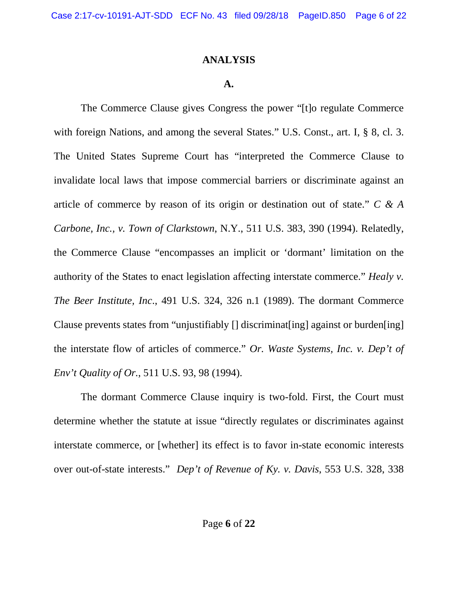### **ANALYSIS**

#### **A.**

The Commerce Clause gives Congress the power "[t]o regulate Commerce with foreign Nations, and among the several States." U.S. Const., art. I, § 8, cl. 3. The United States Supreme Court has "interpreted the Commerce Clause to invalidate local laws that impose commercial barriers or discriminate against an article of commerce by reason of its origin or destination out of state." *C & A Carbone, Inc., v. Town of Clarkstown*, N.Y., 511 U.S. 383, 390 (1994). Relatedly, the Commerce Clause "encompasses an implicit or 'dormant' limitation on the authority of the States to enact legislation affecting interstate commerce." *Healy v. The Beer Institute, Inc*., 491 U.S. 324, 326 n.1 (1989). The dormant Commerce Clause prevents states from "unjustifiably [] discriminat[ing] against or burden[ing] the interstate flow of articles of commerce." *Or. Waste Systems, Inc. v. Dep't of Env't Quality of Or.*, 511 U.S. 93, 98 (1994).

The dormant Commerce Clause inquiry is two-fold. First, the Court must determine whether the statute at issue "directly regulates or discriminates against interstate commerce, or [whether] its effect is to favor in-state economic interests over out-of-state interests." *Dep't of Revenue of Ky. v. Davis*, 553 U.S. 328, 338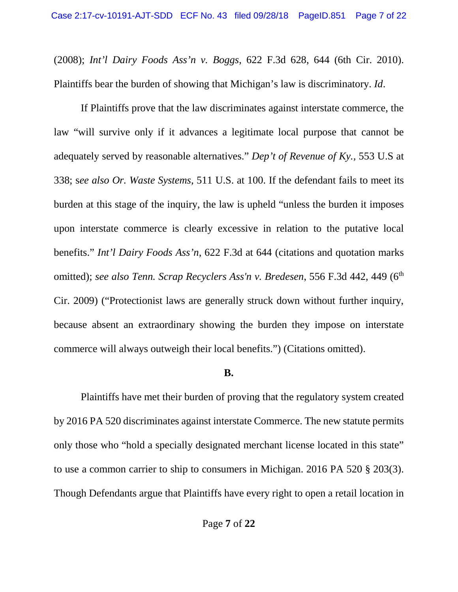(2008); *Int'l Dairy Foods Ass'n v. Boggs*, 622 F.3d 628, 644 (6th Cir. 2010). Plaintiffs bear the burden of showing that Michigan's law is discriminatory. *Id*.

If Plaintiffs prove that the law discriminates against interstate commerce, the law "will survive only if it advances a legitimate local purpose that cannot be adequately served by reasonable alternatives." *Dep't of Revenue of Ky.,* 553 U.S at 338; s*ee also Or. Waste Systems*, 511 U.S. at 100. If the defendant fails to meet its burden at this stage of the inquiry, the law is upheld "unless the burden it imposes upon interstate commerce is clearly excessive in relation to the putative local benefits." *Int'l Dairy Foods Ass'n*, 622 F.3d at 644 (citations and quotation marks omitted); *see also Tenn. Scrap [Recyclers](https://advance.lexis.com/api/document/collection/cases/id/4VKX-4V20-TXFX-82HW-00000-00?page=449&reporter=1107&cite=556%20F.3d%20442&context=1000516) Ass'n v. Bredesen*, 556 F.3d 442, 449 (6th Cir. [2009\)](https://advance.lexis.com/api/document/collection/cases/id/4VKX-4V20-TXFX-82HW-00000-00?page=449&reporter=1107&cite=556%20F.3d%20442&context=1000516) ("Protectionist laws are generally struck down without further inquiry, because absent an extraordinary showing the burden they impose on interstate commerce will always outweigh their local benefits.") (Citations omitted).

#### **B.**

Plaintiffs have met their burden of proving that the regulatory system created by 2016 PA 520 discriminates against interstate Commerce. The new statute permits only those who "hold a specially designated merchant license located in this state" to use a common carrier to ship to consumers in Michigan. 2016 PA 520 § 203(3). Though Defendants argue that Plaintiffs have every right to open a retail location in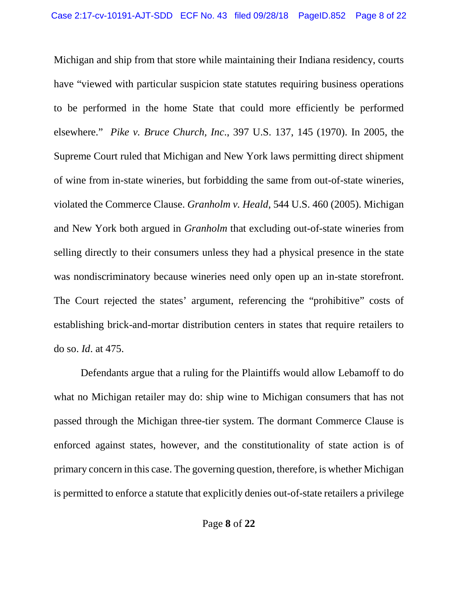Michigan and ship from that store while maintaining their Indiana residency, courts have "viewed with particular suspicion state statutes requiring business operations to be performed in the home State that could more efficiently be performed elsewhere." *Pike v. Bruce Church, Inc*., 397 U.S. 137, 145 (1970). In 2005, the Supreme Court ruled that Michigan and New York laws permitting direct shipment of wine from in-state wineries, but forbidding the same from out-of-state wineries, violated the Commerce Clause. *Granholm v. Heald*, 544 U.S. 460 (2005). Michigan and New York both argued in *Granholm* that excluding out-of-state wineries from selling directly to their consumers unless they had a physical presence in the state was nondiscriminatory because wineries need only open up an in-state storefront. The Court rejected the states' argument, referencing the "prohibitive" costs of establishing brick-and-mortar distribution centers in states that require retailers to do so. *Id*. at 475.

Defendants argue that a ruling for the Plaintiffs would allow Lebamoff to do what no Michigan retailer may do: ship wine to Michigan consumers that has not passed through the Michigan three-tier system. The dormant Commerce Clause is enforced against states, however, and the constitutionality of state action is of primary concern in this case. The governing question, therefore, is whether Michigan is permitted to enforce a statute that explicitly denies out-of-state retailers a privilege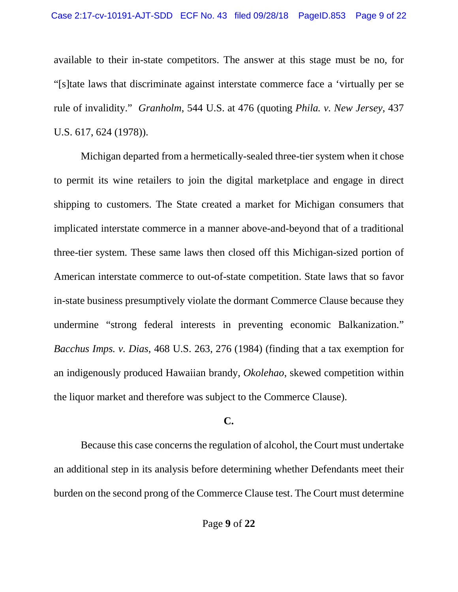available to their in-state competitors. The answer at this stage must be no, for "[s]tate laws that discriminate against interstate commerce face a 'virtually per se rule of invalidity." *Granholm*, 544 U.S. at 476 (quoting *Phila. v. New Jersey*, 437 U.S. 617, 624 (1978)).

Michigan departed from a hermetically-sealed three-tier system when it chose to permit its wine retailers to join the digital marketplace and engage in direct shipping to customers. The State created a market for Michigan consumers that implicated interstate commerce in a manner above-and-beyond that of a traditional three-tier system. These same laws then closed off this Michigan-sized portion of American interstate commerce to out-of-state competition. State laws that so favor in-state business presumptively violate the dormant Commerce Clause because they undermine "strong federal interests in preventing economic Balkanization." *Bacchus Imps. v. Dias*, 468 U.S. 263, 276 (1984) (finding that a tax exemption for an indigenously produced Hawaiian brandy, *Okolehao*, skewed competition within the liquor market and therefore was subject to the Commerce Clause).

## **C.**

Because this case concerns the regulation of alcohol, the Court must undertake an additional step in its analysis before determining whether Defendants meet their burden on the second prong of the Commerce Clause test. The Court must determine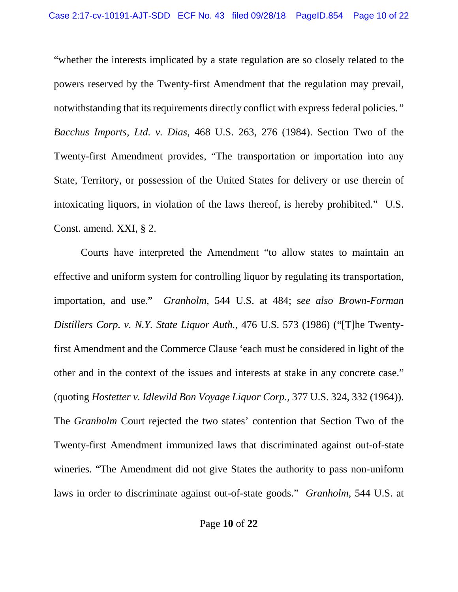"whether the interests implicated by a state regulation are so closely related to the powers reserved by the Twenty-first Amendment that the regulation may prevail, notwithstanding that its requirements directly conflict with express federal policies*." Bacchus Imports, Ltd. v. Dias*, 468 U.S. 263, 276 (1984). Section Two of the Twenty-first Amendment provides, "The transportation or importation into any State, Territory, or possession of the United States for delivery or use therein of intoxicating liquors, in violation of the laws thereof, is hereby prohibited." U.S. Const. amend. XXI, § 2.

Courts have interpreted the Amendment "to allow states to maintain an effective and uniform system for controlling liquor by regulating its transportation, importation, and use." *Granholm*, 544 U.S. at 484; s*ee also Brown-Forman Distillers Corp. v. N.Y. State Liquor Auth.*, 476 U.S. 573 (1986) ("[T]he Twentyfirst Amendment and the Commerce Clause 'each must be considered in light of the other and in the context of the issues and interests at stake in any concrete case." (quoting *Hostetter v. Idlewild Bon Voyage Liquor Corp.*, 377 U.S. 324, 332 (1964)). The *Granholm* Court rejected the two states' contention that Section Two of the Twenty-first Amendment immunized laws that discriminated against out-of-state wineries. "The Amendment did not give States the authority to pass non-uniform laws in order to discriminate against out-of-state goods." *Granholm,* 544 U.S. at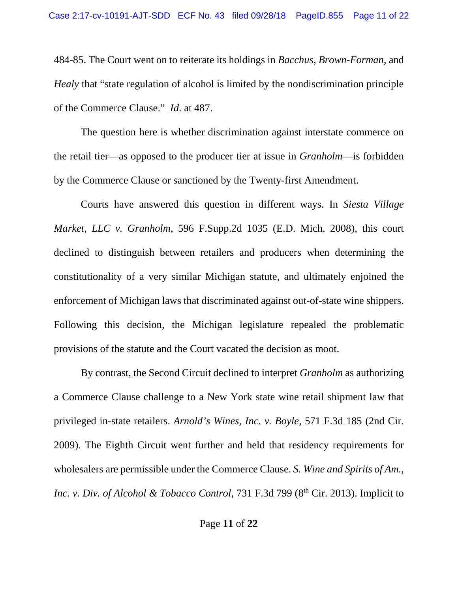484-85. The Court went on to reiterate its holdings in *Bacchus*, *Brown-Forman*, and *Healy* that "state regulation of alcohol is limited by the nondiscrimination principle of the Commerce Clause." *Id*. at 487.

The question here is whether discrimination against interstate commerce on the retail tier—as opposed to the producer tier at issue in *Granholm*—is forbidden by the Commerce Clause or sanctioned by the Twenty-first Amendment.

Courts have answered this question in different ways. In *Siesta Village Market, LLC v. Granholm*, 596 F.Supp.2d 1035 (E.D. Mich. 2008), this court declined to distinguish between retailers and producers when determining the constitutionality of a very similar Michigan statute, and ultimately enjoined the enforcement of Michigan laws that discriminated against out-of-state wine shippers. Following this decision, the Michigan legislature repealed the problematic provisions of the statute and the Court vacated the decision as moot.

By contrast, the Second Circuit declined to interpret *Granholm* as authorizing a Commerce Clause challenge to a New York state wine retail shipment law that privileged in-state retailers. *Arnold's Wines, Inc. v. Boyle*, 571 F.3d 185 (2nd Cir. 2009). The Eighth Circuit went further and held that residency requirements for wholesalers are permissible under the Commerce Clause. *S. Wine and Spirits of Am., Inc. v. Div. of Alcohol & Tobacco Control, 731 F.3d 799 (8<sup>th</sup> Cir. 2013). Implicit to*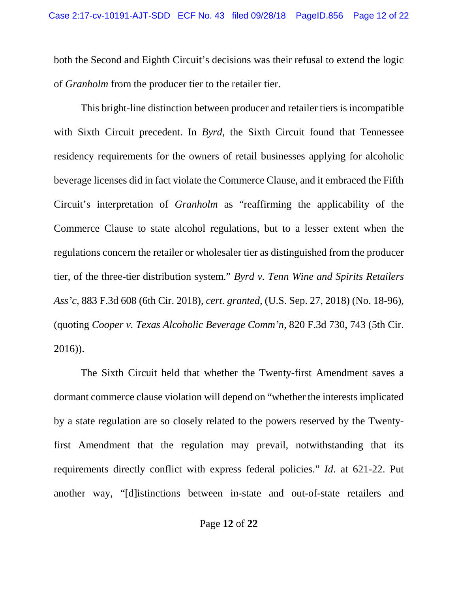both the Second and Eighth Circuit's decisions was their refusal to extend the logic of *Granholm* from the producer tier to the retailer tier.

This bright-line distinction between producer and retailer tiers is incompatible with Sixth Circuit precedent. In *Byrd*, the Sixth Circuit found that Tennessee residency requirements for the owners of retail businesses applying for alcoholic beverage licenses did in fact violate the Commerce Clause, and it embraced the Fifth Circuit's interpretation of *Granholm* as "reaffirming the applicability of the Commerce Clause to state alcohol regulations, but to a lesser extent when the regulations concern the retailer or wholesaler tier as distinguished from the producer tier, of the three-tier distribution system." *Byrd v. Tenn Wine and Spirits Retailers Ass'c*, 883 F.3d 608 (6th Cir. 2018), *cert. granted,* (U.S. Sep. 27, 2018) (No. 18-96), (quoting *Cooper v. Texas Alcoholic Beverage Comm'n*, 820 F.3d 730, 743 (5th Cir. 2016)).

The Sixth Circuit held that whether the Twenty-first Amendment saves a dormant commerce clause violation will depend on "whether the interests implicated by a state regulation are so closely related to the powers reserved by the Twentyfirst Amendment that the regulation may prevail, notwithstanding that its requirements directly conflict with express federal policies." *Id*. at 621-22. Put another way, "[d]istinctions between in-state and out-of-state retailers and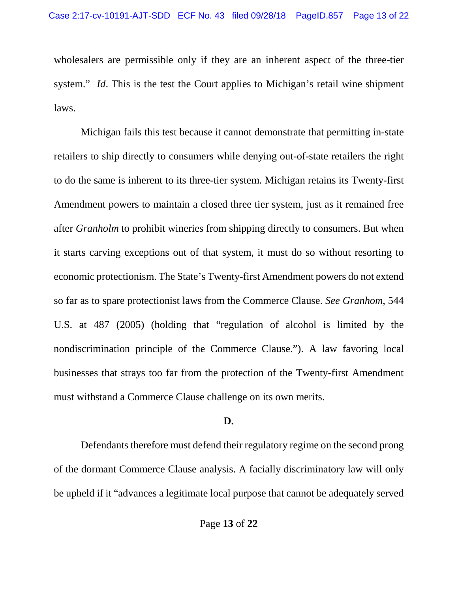wholesalers are permissible only if they are an inherent aspect of the three-tier system." *Id*. This is the test the Court applies to Michigan's retail wine shipment laws.

Michigan fails this test because it cannot demonstrate that permitting in-state retailers to ship directly to consumers while denying out-of-state retailers the right to do the same is inherent to its three-tier system. Michigan retains its Twenty-first Amendment powers to maintain a closed three tier system, just as it remained free after *Granholm* to prohibit wineries from shipping directly to consumers. But when it starts carving exceptions out of that system, it must do so without resorting to economic protectionism. The State's Twenty-first Amendment powers do not extend so far as to spare protectionist laws from the Commerce Clause. *See Granhom*, 544 U.S. at 487 (2005) (holding that "regulation of alcohol is limited by the nondiscrimination principle of the Commerce Clause."). A law favoring local businesses that strays too far from the protection of the Twenty-first Amendment must withstand a Commerce Clause challenge on its own merits.

### **D.**

Defendants therefore must defend their regulatory regime on the second prong of the dormant Commerce Clause analysis. A facially discriminatory law will only be upheld if it "advances a legitimate local purpose that cannot be adequately served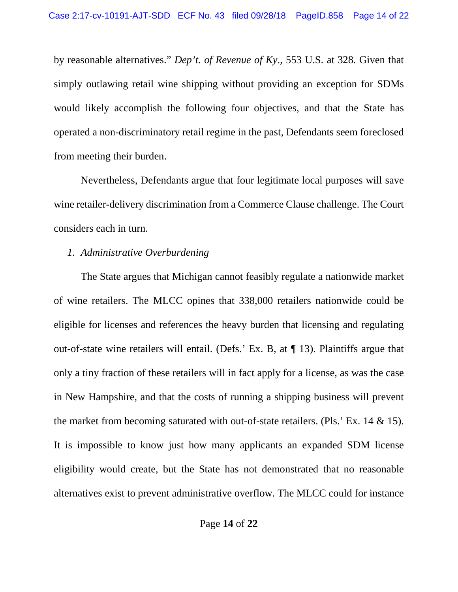by reasonable alternatives." *Dep't. of Revenue of Ky*., 553 U.S. at 328. Given that simply outlawing retail wine shipping without providing an exception for SDMs would likely accomplish the following four objectives, and that the State has operated a non-discriminatory retail regime in the past, Defendants seem foreclosed from meeting their burden.

Nevertheless, Defendants argue that four legitimate local purposes will save wine retailer-delivery discrimination from a Commerce Clause challenge. The Court considers each in turn.

## *1. Administrative Overburdening*

The State argues that Michigan cannot feasibly regulate a nationwide market of wine retailers. The MLCC opines that 338,000 retailers nationwide could be eligible for licenses and references the heavy burden that licensing and regulating out-of-state wine retailers will entail. (Defs.' Ex. B, at ¶ 13). Plaintiffs argue that only a tiny fraction of these retailers will in fact apply for a license, as was the case in New Hampshire, and that the costs of running a shipping business will prevent the market from becoming saturated with out-of-state retailers. (Pls.' Ex. 14 & 15). It is impossible to know just how many applicants an expanded SDM license eligibility would create, but the State has not demonstrated that no reasonable alternatives exist to prevent administrative overflow. The MLCC could for instance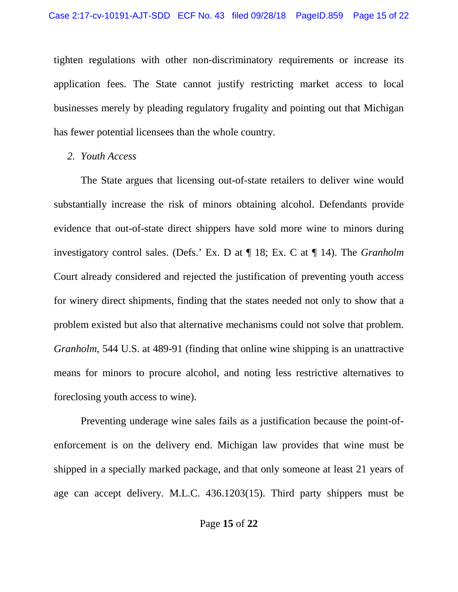tighten regulations with other non-discriminatory requirements or increase its application fees. The State cannot justify restricting market access to local businesses merely by pleading regulatory frugality and pointing out that Michigan has fewer potential licensees than the whole country.

#### *2. Youth Access*

The State argues that licensing out-of-state retailers to deliver wine would substantially increase the risk of minors obtaining alcohol. Defendants provide evidence that out-of-state direct shippers have sold more wine to minors during investigatory control sales. (Defs.' Ex. D at ¶ 18; Ex. C at ¶ 14). The *Granholm* Court already considered and rejected the justification of preventing youth access for winery direct shipments, finding that the states needed not only to show that a problem existed but also that alternative mechanisms could not solve that problem. *Granholm*, 544 U.S. at 489-91 (finding that online wine shipping is an unattractive means for minors to procure alcohol, and noting less restrictive alternatives to foreclosing youth access to wine).

Preventing underage wine sales fails as a justification because the point-ofenforcement is on the delivery end. Michigan law provides that wine must be shipped in a specially marked package, and that only someone at least 21 years of age can accept delivery. M.L.C. 436.1203(15). Third party shippers must be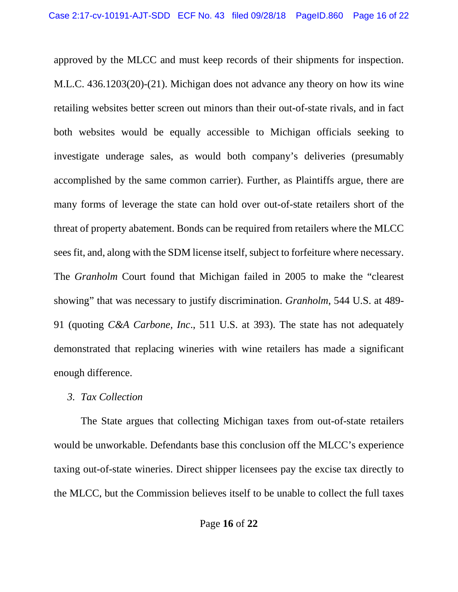approved by the MLCC and must keep records of their shipments for inspection. M.L.C. 436.1203(20)-(21). Michigan does not advance any theory on how its wine retailing websites better screen out minors than their out-of-state rivals, and in fact both websites would be equally accessible to Michigan officials seeking to investigate underage sales, as would both company's deliveries (presumably accomplished by the same common carrier). Further, as Plaintiffs argue, there are many forms of leverage the state can hold over out-of-state retailers short of the threat of property abatement. Bonds can be required from retailers where the MLCC sees fit, and, along with the SDM license itself, subject to forfeiture where necessary. The *Granholm* Court found that Michigan failed in 2005 to make the "clearest showing" that was necessary to justify discrimination. *Granholm*, 544 U.S. at 489- 91 (quoting *C&A Carbone, Inc*., 511 U.S. at 393). The state has not adequately demonstrated that replacing wineries with wine retailers has made a significant enough difference.

### *3. Tax Collection*

The State argues that collecting Michigan taxes from out-of-state retailers would be unworkable. Defendants base this conclusion off the MLCC's experience taxing out-of-state wineries. Direct shipper licensees pay the excise tax directly to the MLCC, but the Commission believes itself to be unable to collect the full taxes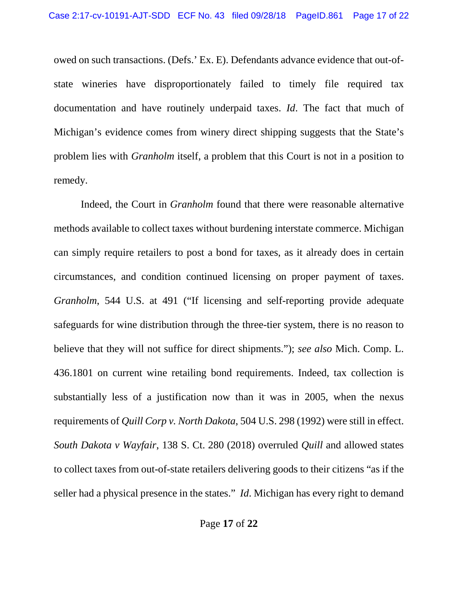owed on such transactions. (Defs.' Ex. E). Defendants advance evidence that out-ofstate wineries have disproportionately failed to timely file required tax documentation and have routinely underpaid taxes. *Id*. The fact that much of Michigan's evidence comes from winery direct shipping suggests that the State's problem lies with *Granholm* itself, a problem that this Court is not in a position to remedy.

Indeed, the Court in *Granholm* found that there were reasonable alternative methods available to collect taxes without burdening interstate commerce. Michigan can simply require retailers to post a bond for taxes, as it already does in certain circumstances, and condition continued licensing on proper payment of taxes. *Granholm*, 544 U.S. at 491 ("If licensing and self-reporting provide adequate safeguards for wine distribution through the three-tier system, there is no reason to believe that they will not suffice for direct shipments."); *see also* Mich. Comp. L. 436.1801 on current wine retailing bond requirements. Indeed, tax collection is substantially less of a justification now than it was in 2005, when the nexus requirements of *Quill Corp v. North Dakota*, 504 U.S. 298 (1992) were still in effect. *South Dakota v Wayfair*, 138 S. Ct. 280 (2018) overruled *Quill* and allowed states to collect taxes from out-of-state retailers delivering goods to their citizens "as if the seller had a physical presence in the states." *Id*. Michigan has every right to demand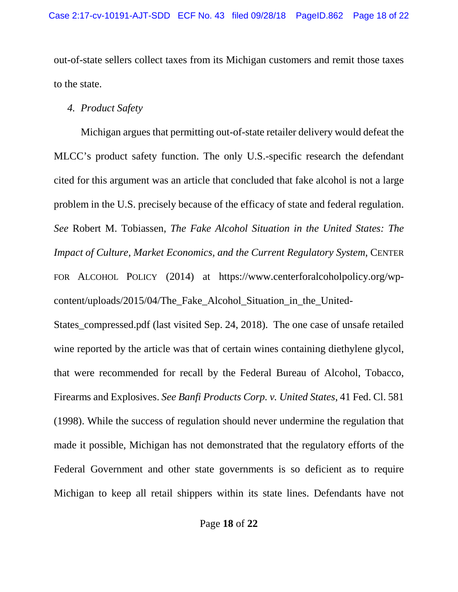out-of-state sellers collect taxes from its Michigan customers and remit those taxes to the state.

## *4. Product Safety*

Michigan argues that permitting out-of-state retailer delivery would defeat the MLCC's product safety function. The only U.S.-specific research the defendant cited for this argument was an article that concluded that fake alcohol is not a large problem in the U.S. precisely because of the efficacy of state and federal regulation. *See* Robert M. Tobiassen, *The Fake Alcohol Situation in the United States: The Impact of Culture, Market Economics, and the Current Regulatory System*, CENTER FOR ALCOHOL POLICY (2014) at https://www.centerforalcoholpolicy.org/wpcontent/uploads/2015/04/The\_Fake\_Alcohol\_Situation\_in\_the\_United-

States compressed.pdf (last visited Sep. 24, 2018). The one case of unsafe retailed wine reported by the article was that of certain wines containing diethylene glycol, that were recommended for recall by the Federal Bureau of Alcohol, Tobacco, Firearms and Explosives. *See Banfi Products Corp. v. United States*, 41 Fed. Cl. 581 (1998). While the success of regulation should never undermine the regulation that made it possible, Michigan has not demonstrated that the regulatory efforts of the Federal Government and other state governments is so deficient as to require Michigan to keep all retail shippers within its state lines. Defendants have not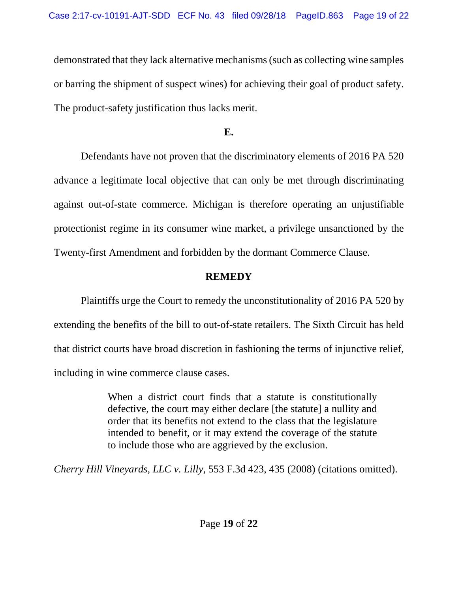demonstrated that they lack alternative mechanisms (such as collecting wine samples or barring the shipment of suspect wines) for achieving their goal of product safety. The product-safety justification thus lacks merit.

**E.**

Defendants have not proven that the discriminatory elements of 2016 PA 520 advance a legitimate local objective that can only be met through discriminating against out-of-state commerce. Michigan is therefore operating an unjustifiable protectionist regime in its consumer wine market, a privilege unsanctioned by the Twenty-first Amendment and forbidden by the dormant Commerce Clause.

# **REMEDY**

Plaintiffs urge the Court to remedy the unconstitutionality of 2016 PA 520 by extending the benefits of the bill to out-of-state retailers. The Sixth Circuit has held that district courts have broad discretion in fashioning the terms of injunctive relief, including in wine commerce clause cases.

> When a district court finds that a statute is constitutionally defective, the court may either declare [the statute] a nullity and order that its benefits not extend to the class that the legislature intended to benefit, or it may extend the coverage of the statute to include those who are aggrieved by the exclusion.

*Cherry Hill Vineyards, LLC v. Lilly*, 553 F.3d 423, 435 (2008) (citations omitted).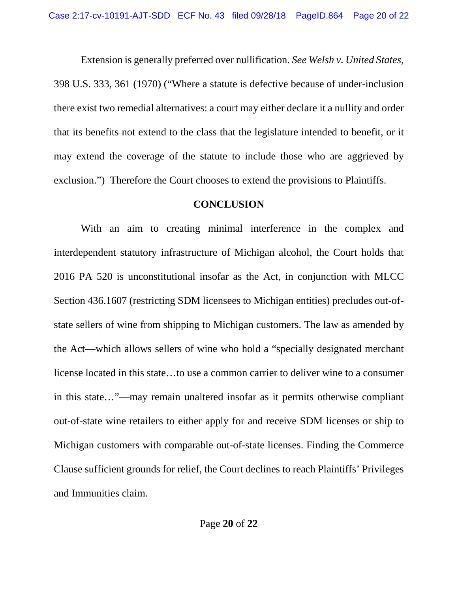Extension is generally preferred over nullification. *See Welsh v. United States*, 398 U.S. 333, 361 (1970) ("Where a statute is defective because of under-inclusion there exist two remedial alternatives: a court may either declare it a nullity and order that its benefits not extend to the class that the legislature intended to benefit, or it may extend the coverage of the statute to include those who are aggrieved by exclusion.") Therefore the Court chooses to extend the provisions to Plaintiffs.

#### **CONCLUSION**

With an aim to creating minimal interference in the complex and interdependent statutory infrastructure of Michigan alcohol, the Court holds that 2016 PA 520 is unconstitutional insofar as the Act, in conjunction with MLCC Section 436.1607 (restricting SDM licensees to Michigan entities) precludes out-ofstate sellers of wine from shipping to Michigan customers. The law as amended by the Act—which allows sellers of wine who hold a "specially designated merchant license located in this state…to use a common carrier to deliver wine to a consumer in this state…"—may remain unaltered insofar as it permits otherwise compliant out-of-state wine retailers to either apply for and receive SDM licenses or ship to Michigan customers with comparable out-of-state licenses. Finding the Commerce Clause sufficient grounds for relief, the Court declines to reach Plaintiffs' Privileges and Immunities claim.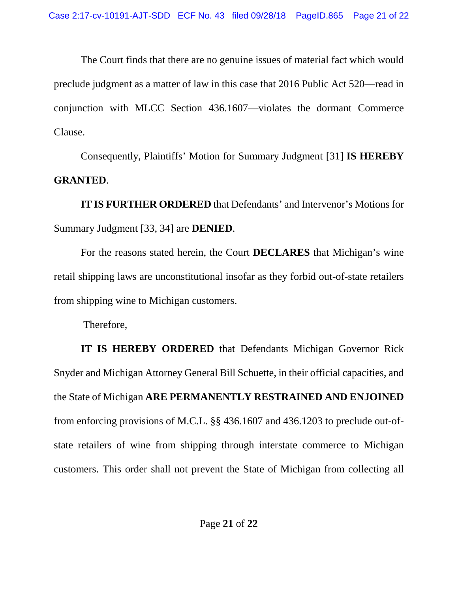The Court finds that there are no genuine issues of material fact which would preclude judgment as a matter of law in this case that 2016 Public Act 520—read in conjunction with MLCC Section 436.1607—violates the dormant Commerce Clause.

Consequently, Plaintiffs' Motion for Summary Judgment [31] **IS HEREBY GRANTED**.

**IT IS FURTHER ORDERED** that Defendants' and Intervenor's Motions for Summary Judgment [33, 34] are **DENIED**.

For the reasons stated herein, the Court **DECLARES** that Michigan's wine retail shipping laws are unconstitutional insofar as they forbid out-of-state retailers from shipping wine to Michigan customers.

Therefore,

**IT IS HEREBY ORDERED** that Defendants Michigan Governor Rick Snyder and Michigan Attorney General Bill Schuette, in their official capacities, and the State of Michigan **ARE PERMANENTLY RESTRAINED AND ENJOINED** from enforcing provisions of M.C.L. §§ 436.1607 and 436.1203 to preclude out-ofstate retailers of wine from shipping through interstate commerce to Michigan customers. This order shall not prevent the State of Michigan from collecting all